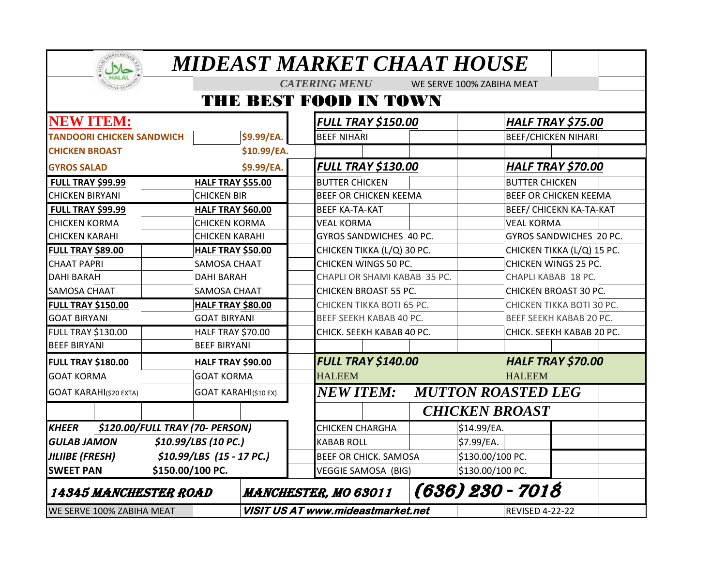|                                                                          |                             | MIDEAST MARKET CHAAT HOUSE               |                                |  |  |  |  |
|--------------------------------------------------------------------------|-----------------------------|------------------------------------------|--------------------------------|--|--|--|--|
|                                                                          |                             | <b>CATERING MENU</b>                     | WE SERVE 100% ZABIHA MEAT      |  |  |  |  |
|                                                                          |                             | THE BEST FOOD IN TOWN                    |                                |  |  |  |  |
| <b>NEW ITEM:</b>                                                         |                             | <b>FULL TRAY \$150.00</b>                | <b>HALF TRAY \$75.00</b>       |  |  |  |  |
| <b>TANDOORI CHICKEN SANDWICH</b>                                         | \$9.99/EA.                  | <b>BEEF NIHARI</b>                       | <b>BEEF/CHICKEN NIHARI</b>     |  |  |  |  |
| <b>CHICKEN BROAST</b>                                                    | \$10.99/EA.                 |                                          |                                |  |  |  |  |
| <b>GYROS SALAD</b>                                                       | \$9.99/EA.                  | <b>FULL TRAY \$130.00</b>                | <b>HALF TRAY \$70.00</b>       |  |  |  |  |
| <b>FULL TRAY \$99.99</b>                                                 | <b>HALF TRAY \$55.00</b>    | <b>BUTTER CHICKEN</b>                    | <b>BUTTER CHICKEN</b>          |  |  |  |  |
| <b>CHICKEN BIRYANI</b>                                                   | <b>CHICKEN BIR</b>          | <b>BEEF OR CHICKEN KEEMA</b>             | <b>BEEF OR CHICKEN KEEMA</b>   |  |  |  |  |
| <b>FULL TRAY \$99.99</b>                                                 | <b>HALF TRAY \$60.00</b>    | <b>BEEF KA-TA-KAT</b>                    | <b>BEEF/ CHICEKN KA-TA-KAT</b> |  |  |  |  |
| <b>CHICKEN KORMA</b>                                                     | <b>CHICKEN KORMA</b>        | <b>VEAL KORMA</b>                        | <b>VEAL KORMA</b>              |  |  |  |  |
| <b>CHICKEN KARAHI</b>                                                    | <b>CHICKEN KARAHI</b>       | GYROS SANDWICHES 40 PC.                  | GYROS SANDWICHES 20 PC.        |  |  |  |  |
| <b>FULL TRAY \$89.00</b>                                                 | <b>HALF TRAY \$50.00</b>    | CHICKEN TIKKA (L/Q) 30 PC.               | CHICKEN TIKKA (L/Q) 15 PC.     |  |  |  |  |
| <b>CHAAT PAPRI</b>                                                       | SAMOSA CHAAT                | CHICKEN WINGS 50 PC.                     | CHICKEN WINGS 25 PC.           |  |  |  |  |
| <b>DAHI BARAH</b>                                                        | <b>DAHI BARAH</b>           | CHAPLI OR SHAMI KABAB 35 PC.             | CHAPLI KABAB 18 PC.            |  |  |  |  |
| <b>SAMOSA CHAAT</b>                                                      | SAMOSA CHAAT                | <b>CHICKEN BROAST 55 PC.</b>             | <b>CHICKEN BROAST 30 PC.</b>   |  |  |  |  |
| <b>FULL TRAY \$150.00</b><br>HALF TRAY \$80.00                           |                             | CHICKEN TIKKA BOTI 65 PC.                | CHICKEN TIKKA BOTI 30 PC.      |  |  |  |  |
| <b>GOAT BIRYANI</b>                                                      | <b>GOAT BIRYANI</b>         | BEEF SEEKH KABAB 40 PC.                  | BEEF SEEKH KABAB 20 PC.        |  |  |  |  |
| <b>FULL TRAY \$130.00</b>                                                | HALF TRAY \$70.00           | CHICK. SEEKH KABAB 40 PC.                | CHICK. SEEKH KABAB 20 PC.      |  |  |  |  |
| <b>BEEF BIRYANI</b>                                                      | <b>BEEF BIRYANI</b>         |                                          |                                |  |  |  |  |
| <b>FULL TRAY \$180.00</b>                                                | HALF TRAY \$90.00           | <b>FULL TRAY \$140.00</b>                | <b>HALF TRAY \$70.00</b>       |  |  |  |  |
| <b>GOAT KORMA</b><br><b>GOAT KORMA</b>                                   |                             | <b>HALEEM</b>                            | <b>HALEEM</b>                  |  |  |  |  |
| <b>GOAT KARAHI(\$20 EXTA)</b>                                            | <b>GOAT KARAHI(\$10 EX)</b> | <b>NEW ITEM:</b>                         | <b>MUTTON ROASTED LEG</b>      |  |  |  |  |
|                                                                          |                             |                                          | <b>CHICKEN BROAST</b>          |  |  |  |  |
| \$120.00/FULL TRAY (70- PERSON)<br><b>KHEER</b>                          |                             | <b>CHICKEN CHARGHA</b>                   | \$14.99/EA.                    |  |  |  |  |
| \$10.99/LBS (10 PC.)<br><b>GULAB JAMON</b>                               |                             | <b>KABAB ROLL</b>                        | \$7.99/EA.                     |  |  |  |  |
| \$10.99/LBS (15 - 17 PC.)<br><b>JILIIBE (FRESH)</b>                      |                             | <b>BEEF OR CHICK. SAMOSA</b>             | \$130.00/100 PC.               |  |  |  |  |
| <b>SWEET PAN</b>                                                         | \$150.00/100 PC.            | <b>VEGGIE SAMOSA (BIG)</b>               | \$130.00/100 PC.               |  |  |  |  |
| (636) 230 - 7018<br>14345 MANCHESTER ROAD<br><b>MANCHESTER, MO 63011</b> |                             |                                          |                                |  |  |  |  |
| WE SERVE 100% ZABIHA MEAT                                                |                             | <b>VISIT US AT www.mideastmarket.net</b> | <b>REVISED 4-22-22</b>         |  |  |  |  |